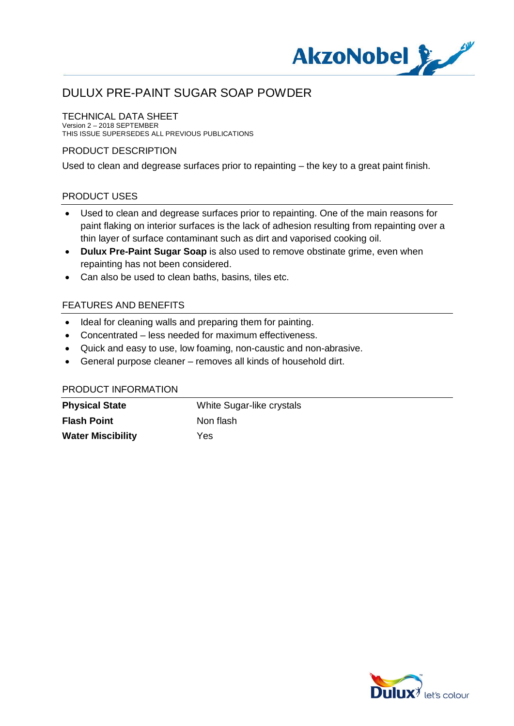

# DULUX PRE-PAINT SUGAR SOAP POWDER

#### TECHNICAL DATA SHEET

Version 2 – 2018 SEPTEMBER THIS ISSUE SUPERSEDES ALL PREVIOUS PUBLICATIONS

## PRODUCT DESCRIPTION

Used to clean and degrease surfaces prior to repainting – the key to a great paint finish.

## PRODUCT USES

- · Used to clean and degrease surfaces prior to repainting. One of the main reasons for paint flaking on interior surfaces is the lack of adhesion resulting from repainting over a thin layer of surface contaminant such as dirt and vaporised cooking oil.
- · **Dulux Pre-Paint Sugar Soap** is also used to remove obstinate grime, even when repainting has not been considered.
- · Can also be used to clean baths, basins, tiles etc.

## FEATURES AND BENEFITS

- · Ideal for cleaning walls and preparing them for painting.
- · Concentrated less needed for maximum effectiveness.
- · Quick and easy to use, low foaming, non-caustic and non-abrasive.
- · General purpose cleaner removes all kinds of household dirt.

#### PRODUCT INFORMATION

| <b>Physical State</b>    | White Sugar-like crystals |
|--------------------------|---------------------------|
| <b>Flash Point</b>       | Non flash                 |
| <b>Water Miscibility</b> | Yes.                      |

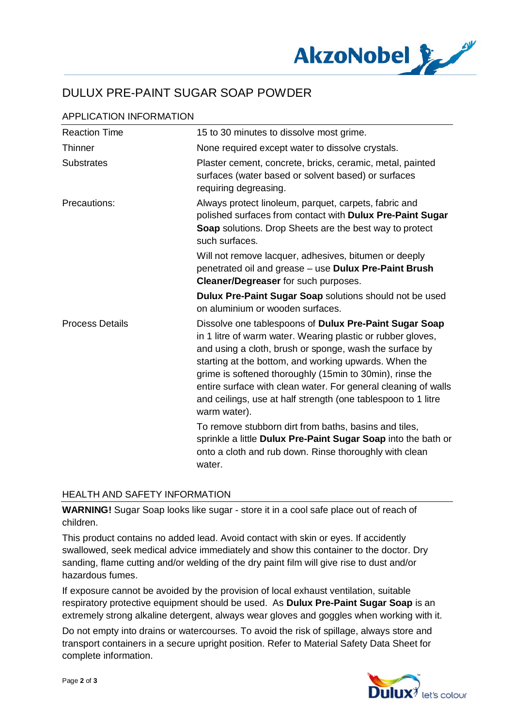

# DULUX PRE-PAINT SUGAR SOAP POWDER

| <b>Reaction Time</b>   | 15 to 30 minutes to dissolve most grime.                                                                                                                                                                                                                                                                                                                                                                                                                 |
|------------------------|----------------------------------------------------------------------------------------------------------------------------------------------------------------------------------------------------------------------------------------------------------------------------------------------------------------------------------------------------------------------------------------------------------------------------------------------------------|
| <b>Thinner</b>         | None required except water to dissolve crystals.                                                                                                                                                                                                                                                                                                                                                                                                         |
| <b>Substrates</b>      | Plaster cement, concrete, bricks, ceramic, metal, painted<br>surfaces (water based or solvent based) or surfaces<br>requiring degreasing.                                                                                                                                                                                                                                                                                                                |
| Precautions:           | Always protect linoleum, parquet, carpets, fabric and<br>polished surfaces from contact with Dulux Pre-Paint Sugar<br>Soap solutions. Drop Sheets are the best way to protect<br>such surfaces.                                                                                                                                                                                                                                                          |
|                        | Will not remove lacquer, adhesives, bitumen or deeply<br>penetrated oil and grease - use Dulux Pre-Paint Brush<br><b>Cleaner/Degreaser</b> for such purposes.                                                                                                                                                                                                                                                                                            |
|                        | Dulux Pre-Paint Sugar Soap solutions should not be used<br>on aluminium or wooden surfaces.                                                                                                                                                                                                                                                                                                                                                              |
| <b>Process Details</b> | Dissolve one tablespoons of Dulux Pre-Paint Sugar Soap<br>in 1 litre of warm water. Wearing plastic or rubber gloves,<br>and using a cloth, brush or sponge, wash the surface by<br>starting at the bottom, and working upwards. When the<br>grime is softened thoroughly (15min to 30min), rinse the<br>entire surface with clean water. For general cleaning of walls<br>and ceilings, use at half strength (one tablespoon to 1 litre<br>warm water). |
|                        | To remove stubborn dirt from baths, basins and tiles,<br>sprinkle a little Dulux Pre-Paint Sugar Soap into the bath or<br>onto a cloth and rub down. Rinse thoroughly with clean<br>water.                                                                                                                                                                                                                                                               |

## HEALTH AND SAFETY INFORMATION

**WARNING!** Sugar Soap looks like sugar - store it in a cool safe place out of reach of children.

This product contains no added lead. Avoid contact with skin or eyes. If accidently swallowed, seek medical advice immediately and show this container to the doctor. Dry sanding, flame cutting and/or welding of the dry paint film will give rise to dust and/or hazardous fumes.

If exposure cannot be avoided by the provision of local exhaust ventilation, suitable respiratory protective equipment should be used. As **Dulux Pre-Paint Sugar Soap** is an extremely strong alkaline detergent, always wear gloves and goggles when working with it.

Do not empty into drains or watercourses. To avoid the risk of spillage, always store and transport containers in a secure upright position. Refer to Material Safety Data Sheet for complete information.